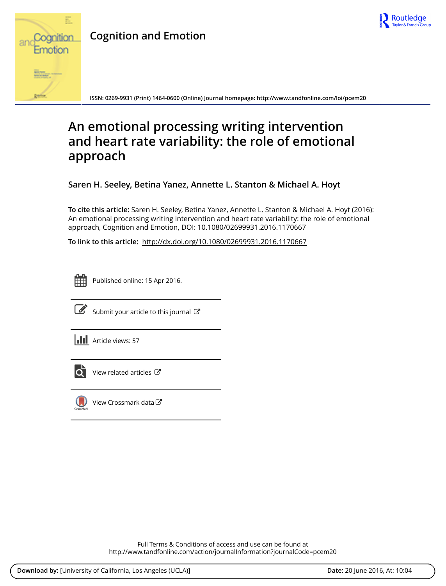

# **Cognition and Emotion**



**ISSN: 0269-9931 (Print) 1464-0600 (Online) Journal homepage:<http://www.tandfonline.com/loi/pcem20>**

## **An emotional processing writing intervention and heart rate variability: the role of emotional approach**

**Saren H. Seeley, Betina Yanez, Annette L. Stanton & Michael A. Hoyt**

**To cite this article:** Saren H. Seeley, Betina Yanez, Annette L. Stanton & Michael A. Hoyt (2016): An emotional processing writing intervention and heart rate variability: the role of emotional approach, Cognition and Emotion, DOI: [10.1080/02699931.2016.1170667](http://www.tandfonline.com/action/showCitFormats?doi=10.1080/02699931.2016.1170667)

**To link to this article:** <http://dx.doi.org/10.1080/02699931.2016.1170667>



Published online: 15 Apr 2016.



[Submit your article to this journal](http://www.tandfonline.com/action/authorSubmission?journalCode=pcem20&page=instructions)  $\mathbb{Z}$ 



 $\overrightarrow{Q}$  [View related articles](http://www.tandfonline.com/doi/mlt/10.1080/02699931.2016.1170667)  $\overrightarrow{C}$ 



[View Crossmark data](http://crossmark.crossref.org/dialog/?doi=10.1080/02699931.2016.1170667&domain=pdf&date_stamp=2016-04-15)  $\sigma$ 

Full Terms & Conditions of access and use can be found at <http://www.tandfonline.com/action/journalInformation?journalCode=pcem20>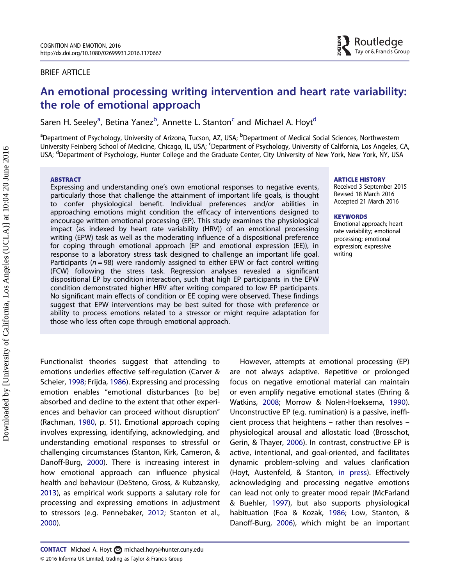#### <span id="page-1-0"></span>BRIEF ARTICLE



### An emotional processing writing intervention and heart rate variability: the role of emotional approach

Saren H. Seeley<sup>a</sup>, Betina Yanez<sup>b</sup>, Annette L. Stanton<sup>c</sup> and Michael A. Hoyt<sup>d</sup>

<sup>a</sup>Department of Psychology, University of Arizona, Tucson, AZ, USA; <sup>b</sup>Department of Medical Social Sciences, Northwestern University Feinberg School of Medicine, Chicago, IL, USA; <sup>c</sup>Department of Psychology, University of California, Los Angeles, CA, USA; <sup>d</sup>Department of Psychology, Hunter College and the Graduate Center, City University of New York, New York, NY, USA

#### **ARSTRACT**

Expressing and understanding one's own emotional responses to negative events, particularly those that challenge the attainment of important life goals, is thought to confer physiological benefit. Individual preferences and/or abilities in approaching emotions might condition the efficacy of interventions designed to encourage written emotional processing (EP). This study examines the physiological impact (as indexed by heart rate variability (HRV)) of an emotional processing writing (EPW) task as well as the moderating influence of a dispositional preference for coping through emotional approach (EP and emotional expression (EE)), in response to a laboratory stress task designed to challenge an important life goal. Participants ( $n = 98$ ) were randomly assigned to either EPW or fact control writing (FCW) following the stress task. Regression analyses revealed a significant dispositional EP by condition interaction, such that high EP participants in the EPW condition demonstrated higher HRV after writing compared to low EP participants. No significant main effects of condition or EE coping were observed. These findings suggest that EPW interventions may be best suited for those with preference or ability to process emotions related to a stressor or might require adaptation for those who less often cope through emotional approach.

#### ARTICLE HISTORY

Received 3 September 2015 Revised 18 March 2016 Accepted 21 March 2016

#### **KEYWORDS**

Emotional approach; heart rate variability; emotional processing; emotional expression; expressive writing

Functionalist theories suggest that attending to emotions underlies effective self-regulation (Carver & Scheier, [1998;](#page-6-0) Frijda, [1986](#page-6-0)). Expressing and processing emotion enables "emotional disturbances [to be] absorbed and decline to the extent that other experiences and behavior can proceed without disruption" (Rachman, [1980,](#page-7-0) p. 51). Emotional approach coping involves expressing, identifying, acknowledging, and understanding emotional responses to stressful or challenging circumstances (Stanton, Kirk, Cameron, & Danoff-Burg, [2000](#page-7-0)). There is increasing interest in how emotional approach can influence physical health and behaviour (DeSteno, Gross, & Kubzansky, [2013](#page-6-0)), as empirical work supports a salutary role for processing and expressing emotions in adjustment to stressors (e.g. Pennebaker, [2012;](#page-7-0) Stanton et al., [2000](#page-7-0)).

However, attempts at emotional processing (EP) are not always adaptive. Repetitive or prolonged focus on negative emotional material can maintain or even amplify negative emotional states (Ehring & Watkins, [2008](#page-6-0); Morrow & Nolen-Hoeksema, [1990](#page-7-0)). Unconstructive EP (e.g. rumination) is a passive, inefficient process that heightens – rather than resolves – physiological arousal and allostatic load (Brosschot, Gerin, & Thayer, [2006\)](#page-6-0). In contrast, constructive EP is active, intentional, and goal-oriented, and facilitates dynamic problem-solving and values clarification (Hoyt, Austenfeld, & Stanton, [in press](#page-6-0)). Effectively acknowledging and processing negative emotions can lead not only to greater mood repair (McFarland & Buehler, [1997](#page-7-0)), but also supports physiological habituation (Foa & Kozak, [1986;](#page-6-0) Low, Stanton, & Danoff-Burg, [2006\)](#page-7-0), which might be an important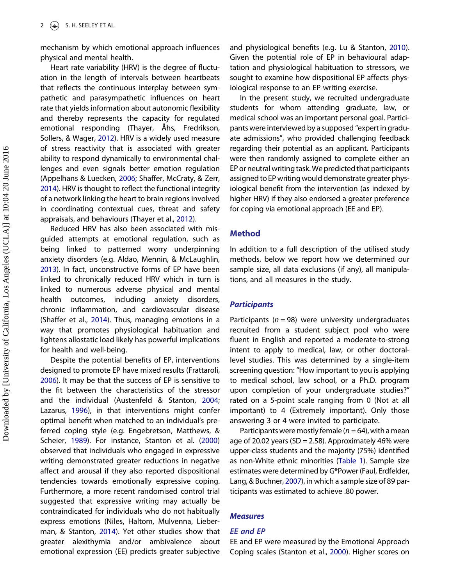<span id="page-2-0"></span>mechanism by which emotional approach influences physical and mental health.

Heart rate variability (HRV) is the degree of fluctuation in the length of intervals between heartbeats that reflects the continuous interplay between sympathetic and parasympathetic influences on heart rate that yields information about autonomic flexibility and thereby represents the capacity for regulated emotional responding (Thayer, Åhs, Fredrikson, Sollers, & Wager, [2012](#page-7-0)). HRV is a widely used measure of stress reactivity that is associated with greater ability to respond dynamically to environmental challenges and even signals better emotion regulation (Appelhans & Luecken, [2006](#page-6-0); Shaffer, McCraty, & Zerr, [2014](#page-7-0)). HRV is thought to reflect the functional integrity of a network linking the heart to brain regions involved in coordinating contextual cues, threat and safety appraisals, and behaviours (Thayer et al., [2012\)](#page-7-0).

Reduced HRV has also been associated with misguided attempts at emotional regulation, such as being linked to patterned worry underpinning anxiety disorders (e.g. Aldao, Mennin, & McLaughlin, [2013](#page-6-0)). In fact, unconstructive forms of EP have been linked to chronically reduced HRV which in turn is linked to numerous adverse physical and mental health outcomes, including anxiety disorders, chronic inflammation, and cardiovascular disease (Shaffer et al., [2014\)](#page-7-0). Thus, managing emotions in a way that promotes physiological habituation and lightens allostatic load likely has powerful implications for health and well-being.

Despite the potential benefits of EP, interventions designed to promote EP have mixed results (Frattaroli, [2006](#page-6-0)). It may be that the success of EP is sensitive to the fit between the characteristics of the stressor and the individual (Austenfeld & Stanton, [2004;](#page-6-0) Lazarus, [1996\)](#page-7-0), in that interventions might confer optimal benefit when matched to an individual's preferred coping style (e.g. Engebretson, Matthews, & Scheier, [1989\)](#page-6-0). For instance, Stanton et al. ([2000](#page-7-0)) observed that individuals who engaged in expressive writing demonstrated greater reductions in negative affect and arousal if they also reported dispositional tendencies towards emotionally expressive coping. Furthermore, a more recent randomised control trial suggested that expressive writing may actually be contraindicated for individuals who do not habitually express emotions (Niles, Haltom, Mulvenna, Lieberman, & Stanton, [2014\)](#page-7-0). Yet other studies show that greater alexithymia and/or ambivalence about emotional expression (EE) predicts greater subjective

and physiological benefits (e.g. Lu & Stanton, [2010](#page-7-0)). Given the potential role of EP in behavioural adaptation and physiological habituation to stressors, we sought to examine how dispositional EP affects physiological response to an EP writing exercise.

In the present study, we recruited undergraduate students for whom attending graduate, law, or medical school was an important personal goal. Participants were interviewed by a supposed "expert in graduate admissions", who provided challenging feedback regarding their potential as an applicant. Participants were then randomly assigned to complete either an EP or neutral writing task.We predicted that participants assigned to EP writing would demonstrate greater physiological benefit from the intervention (as indexed by higher HRV) if they also endorsed a greater preference for coping via emotional approach (EE and EP).

#### Method

In addition to a full description of the utilised study methods, below we report how we determined our sample size, all data exclusions (if any), all manipulations, and all measures in the study.

#### **Participants**

Participants ( $n = 98$ ) were university undergraduates recruited from a student subject pool who were fluent in English and reported a moderate-to-strong intent to apply to medical, law, or other doctorallevel studies. This was determined by a single-item screening question: "How important to you is applying to medical school, law school, or a Ph.D. program upon completion of your undergraduate studies?" rated on a 5-point scale ranging from 0 (Not at all important) to 4 (Extremely important). Only those answering 3 or 4 were invited to participate.

Participants were mostly female ( $n = 64$ ), with a mean age of 20.02 years (SD = 2.58). Approximately 46% were upper-class students and the majority (75%) identified as non-White ethnic minorities [\(Table 1\)](#page-3-0). Sample size estimates were determined by G\*Power (Faul, Erdfelder, Lang, & Buchner, [2007\)](#page-6-0), in which a sample size of 89 participants was estimated to achieve .80 power.

#### Measures

#### EE and EP

EE and EP were measured by the Emotional Approach Coping scales (Stanton et al., [2000](#page-7-0)). Higher scores on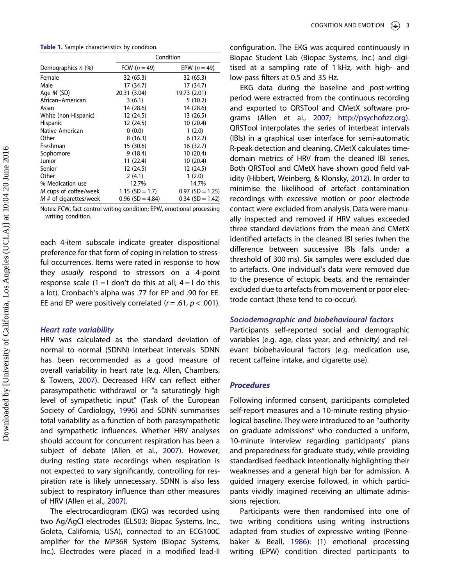<span id="page-3-0"></span>

|                           | Condition          |                    |
|---------------------------|--------------------|--------------------|
| Demographics n (%)        | FCW $(n = 49)$     | EPW $(n = 49)$     |
| Female                    | 32 (65.3)          | 32 (65.3)          |
| Male                      | 17 (34.7)          | 17 (34.7)          |
| Age $M$ (SD)              | 20.31 (3.04)       | 19.73 (2.01)       |
| African-American          | 3(6.1)             | 5(10.2)            |
| Asian                     | 14 (28.6)          | 14 (28.6)          |
| White (non-Hispanic)      | 12 (24.5)          | 13 (26.5)          |
| Hispanic                  | 12 (24.5)          | 10 (20.4)          |
| Native American           | 0(0.0)             | 1(2.0)             |
| Other                     | 8(16.3)            | 6(12.2)            |
| Freshman                  | 15 (30.6)          | 16 (32.7)          |
| Sophomore                 | 9(18.4)            | 10 (20.4)          |
| Junior                    | 11(22.4)           | 10 (20.4)          |
| Senior                    | 12 (24.5)          | 12 (24.5)          |
| Other                     | 2(4.1)             | 1(2.0)             |
| % Medication use          | 12.7%              | 14.7%              |
| M cups of coffee/week     | $1.15$ (SD = 1.7)  | $0.97$ (SD = 1.25) |
| $M \#$ of cigarettes/week | $0.96$ (SD = 4.84) | $0.34$ (SD = 1.42) |

Notes: FCW, fact control writing condition; EPW, emotional processing writing condition.

each 4-item subscale indicate greater dispositional preference for that form of coping in relation to stressful occurrences. Items were rated in response to how they usually respond to stressors on a 4-point response scale  $(1 = 1$  don't do this at all;  $4 = 1$  do this a lot). Cronbach's alpha was .77 for EP and .90 for EE. EE and EP were positively correlated ( $r = .61$ ,  $p < .001$ ).

#### Heart rate variability

HRV was calculated as the standard deviation of normal to normal (SDNN) interbeat intervals. SDNN has been recommended as a good measure of overall variability in heart rate (e.g. Allen, Chambers, & Towers, [2007](#page-6-0)). Decreased HRV can reflect either parasympathetic withdrawal or "a saturatingly high level of sympathetic input" (Task of the European Society of Cardiology, [1996](#page-7-0)) and SDNN summarises total variability as a function of both parasympathetic and sympathetic influences. Whether HRV analyses should account for concurrent respiration has been a subject of debate (Allen et al., [2007](#page-6-0)). However, during resting state recordings when respiration is not expected to vary significantly, controlling for respiration rate is likely unnecessary. SDNN is also less subject to respiratory influence than other measures of HRV (Allen et al., [2007](#page-6-0)).

The electrocardiogram (EKG) was recorded using two Ag/AgCl electrodes (EL503; Biopac Systems, Inc., Goleta, California, USA), connected to an ECG100C amplifier for the MP36R System (Biopac Systems, Inc.). Electrodes were placed in a modified lead-II configuration. The EKG was acquired continuously in Biopac Student Lab (Biopac Systems, Inc.) and digitised at a sampling rate of 1 kHz, with high- and low-pass filters at 0.5 and 35 Hz.

EKG data during the baseline and post-writing period were extracted from the continuous recording and exported to QRSTool and CMetX software programs (Allen et al., [2007](#page-6-0); [http://psycho](http://psychofizz.org)fizz.org). QRSTool interpolates the series of interbeat intervals (IBIs) in a graphical user interface for semi-automatic R-peak detection and cleaning. CMetX calculates timedomain metrics of HRV from the cleaned IBI series. Both QRSTool and CMetX have shown good field validity (Hibbert, Weinberg, & Klonsky, [2012](#page-6-0)). In order to minimise the likelihood of artefact contamination recordings with excessive motion or poor electrode contact were excluded from analysis. Data were manually inspected and removed if HRV values exceeded three standard deviations from the mean and CMetX identified artefacts in the cleaned IBI series (when the difference between successive IBIs falls under a threshold of 300 ms). Six samples were excluded due to artefacts. One individual's data were removed due to the presence of ectopic beats, and the remainder excluded due to artefacts from movement or poor electrode contact (these tend to co-occur).

#### Sociodemographic and biobehavioural factors

Participants self-reported social and demographic variables (e.g. age, class year, and ethnicity) and relevant biobehavioural factors (e.g. medication use, recent caffeine intake, and cigarette use).

#### Procedures

Following informed consent, participants completed self-report measures and a 10-minute resting physiological baseline. They were introduced to an "authority on graduate admissions" who conducted a uniform, 10-minute interview regarding participants' plans and preparedness for graduate study, while providing standardised feedback intentionally highlighting their weaknesses and a general high bar for admission. A guided imagery exercise followed, in which participants vividly imagined receiving an ultimate admissions rejection.

Participants were then randomised into one of two writing conditions using writing instructions adapted from studies of expressive writing (Pennebaker & Beall, [1986\)](#page-7-0): (1) emotional processing writing (EPW) condition directed participants to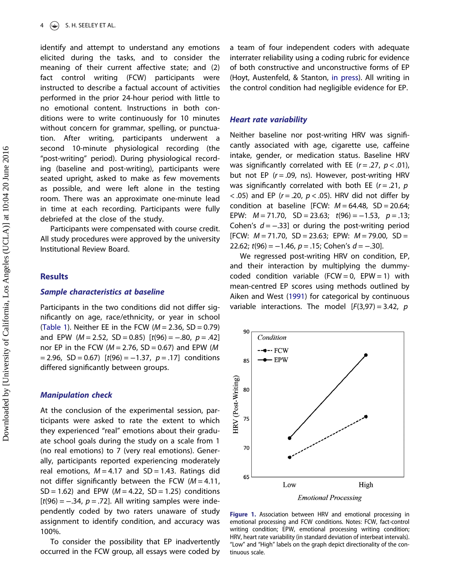<span id="page-4-0"></span>identify and attempt to understand any emotions elicited during the tasks, and to consider the meaning of their current affective state; and (2) fact control writing (FCW) participants were instructed to describe a factual account of activities performed in the prior 24-hour period with little to no emotional content. Instructions in both conditions were to write continuously for 10 minutes without concern for grammar, spelling, or punctuation. After writing, participants underwent a second 10-minute physiological recording (the "post-writing" period). During physiological recording (baseline and post-writing), participants were seated upright, asked to make as few movements as possible, and were left alone in the testing room. There was an approximate one-minute lead in time at each recording. Participants were fully debriefed at the close of the study.

Participants were compensated with course credit. All study procedures were approved by the university Institutional Review Board.

#### **Results**

#### Sample characteristics at baseline

Participants in the two conditions did not differ significantly on age, race/ethnicity, or year in school ([Table 1](#page-3-0)). Neither EE in the FCW ( $M = 2.36$ , SD = 0.79) and EPW ( $M = 2.52$ , SD = 0.85) [ $t(96) = -.80$ ,  $p = .42$ ] nor EP in the FCW ( $M = 2.76$ , SD = 0.67) and EPW (M  $= 2.96$ , SD = 0.67) [t(96) = -1.37, p = .17] conditions differed significantly between groups.

#### Manipulation check

At the conclusion of the experimental session, participants were asked to rate the extent to which they experienced "real" emotions about their graduate school goals during the study on a scale from 1 (no real emotions) to 7 (very real emotions). Generally, participants reported experiencing moderately real emotions,  $M = 4.17$  and  $SD = 1.43$ . Ratings did not differ significantly between the FCW  $(M = 4.11)$ ,  $SD = 1.62$ ) and EPW ( $M = 4.22$ ,  $SD = 1.25$ ) conditions  $[t(96) = -.34, p = .72]$ . All writing samples were independently coded by two raters unaware of study assignment to identify condition, and accuracy was 100%.

To consider the possibility that EP inadvertently occurred in the FCW group, all essays were coded by a team of four independent coders with adequate interrater reliability using a coding rubric for evidence of both constructive and unconstructive forms of EP (Hoyt, Austenfeld, & Stanton, [in press\)](#page-6-0). All writing in the control condition had negligible evidence for EP.

#### Heart rate variability

Neither baseline nor post-writing HRV was significantly associated with age, cigarette use, caffeine intake, gender, or medication status. Baseline HRV was significantly correlated with EE ( $r = .27$ ,  $p < .01$ ), but not EP  $(r = .09, \text{ ns})$ . However, post-writing HRV was significantly correlated with both EE ( $r = .21$ ,  $p$  $<$  .05) and EP ( $r = 0.20$ ,  $p < 0.05$ ). HRV did not differ by condition at baseline [FCW:  $M = 64.48$ , SD = 20.64; EPW:  $M = 71.70$ , SD = 23.63;  $t(96) = -1.53$ ,  $p = .13$ ; Cohen's  $d = -.33$ ] or during the post-writing period [FCW:  $M = 71.70$ , SD = 23.63; EPW:  $M = 79.00$ , SD = 22.62;  $t(96) = -1.46$ ,  $p = .15$ ; Cohen's  $d = -.30$ ].

We regressed post-writing HRV on condition, EP, and their interaction by multiplying the dummycoded condition variable (FCW = 0, EPW = 1) with mean-centred EP scores using methods outlined by Aiken and West ([1991](#page-6-0)) for categorical by continuous variable interactions. The model  $[F(3,97) = 3.42, p$ 

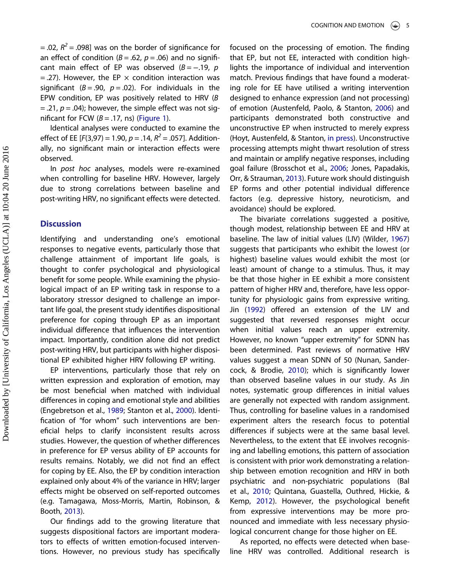<span id="page-5-0"></span>= .02,  $R^2$  = .098] was on the border of significance for an effect of condition ( $B = .62$ ,  $p = .06$ ) and no significant main effect of EP was observed  $(B = -19, p$  $=$  .27). However, the EP  $\times$  condition interaction was significant ( $B = .90$ ,  $p = .02$ ). For individuals in the EPW condition, EP was positively related to HRV (B = .21,  $p$  = .04); however, the simple effect was not significant for FCW ( $B = .17$ , ns) ([Figure 1](#page-4-0)).

Identical analyses were conducted to examine the effect of EE [ $F(3,97) = 1.90$ ,  $p = .14$ ,  $R^2 = .057$ ]. Additionally, no significant main or interaction effects were observed.

In post hoc analyses, models were re-examined when controlling for baseline HRV. However, largely due to strong correlations between baseline and post-writing HRV, no significant effects were detected.

#### **Discussion**

Identifying and understanding one's emotional responses to negative events, particularly those that challenge attainment of important life goals, is thought to confer psychological and physiological benefit for some people. While examining the physiological impact of an EP writing task in response to a laboratory stressor designed to challenge an important life goal, the present study identifies dispositional preference for coping through EP as an important individual difference that influences the intervention impact. Importantly, condition alone did not predict post-writing HRV, but participants with higher dispositional EP exhibited higher HRV following EP writing.

EP interventions, particularly those that rely on written expression and exploration of emotion, may be most beneficial when matched with individual differences in coping and emotional style and abilities (Engebretson et al., [1989](#page-6-0); Stanton et al., [2000\)](#page-7-0). Identification of "for whom" such interventions are beneficial helps to clarify inconsistent results across studies. However, the question of whether differences in preference for EP versus ability of EP accounts for results remains. Notably, we did not find an effect for coping by EE. Also, the EP by condition interaction explained only about 4% of the variance in HRV; larger effects might be observed on self-reported outcomes (e.g. Tamagawa, Moss-Morris, Martin, Robinson, & Booth, [2013\)](#page-7-0).

Our findings add to the growing literature that suggests dispositional factors are important moderators to effects of written emotion-focused interventions. However, no previous study has specifically

focused on the processing of emotion. The finding that EP, but not EE, interacted with condition highlights the importance of individual and intervention match. Previous findings that have found a moderating role for EE have utilised a writing intervention designed to enhance expression (and not processing) of emotion (Austenfeld, Paolo, & Stanton, [2006](#page-6-0)) and participants demonstrated both constructive and unconstructive EP when instructed to merely express (Hoyt, Austenfeld, & Stanton, [in press\)](#page-6-0). Unconstructive processing attempts might thwart resolution of stress and maintain or amplify negative responses, including goal failure (Brosschot et al., [2006;](#page-6-0) Jones, Papadakis, Orr, & Strauman, [2013\)](#page-7-0). Future work should distinguish EP forms and other potential individual difference factors (e.g. depressive history, neuroticism, and avoidance) should be explored.

The bivariate correlations suggested a positive, though modest, relationship between EE and HRV at baseline. The law of initial values (LIV) (Wilder, [1967](#page-7-0)) suggests that participants who exhibit the lowest (or highest) baseline values would exhibit the most (or least) amount of change to a stimulus. Thus, it may be that those higher in EE exhibit a more consistent pattern of higher HRV and, therefore, have less opportunity for physiologic gains from expressive writing. Jin [\(1992\)](#page-7-0) offered an extension of the LIV and suggested that reversed responses might occur when initial values reach an upper extremity. However, no known "upper extremity" for SDNN has been determined. Past reviews of normative HRV values suggest a mean SDNN of 50 (Nunan, Sandercock, & Brodie, [2010\)](#page-7-0); which is significantly lower than observed baseline values in our study. As Jin notes, systematic group differences in initial values are generally not expected with random assignment. Thus, controlling for baseline values in a randomised experiment alters the research focus to potential differences if subjects were at the same basal level. Nevertheless, to the extent that EE involves recognising and labelling emotions, this pattern of association is consistent with prior work demonstrating a relationship between emotion recognition and HRV in both psychiatric and non-psychiatric populations (Bal et al., [2010](#page-6-0); Quintana, Guastella, Outhred, Hickie, & Kemp, [2012\)](#page-7-0). However, the psychological benefit from expressive interventions may be more pronounced and immediate with less necessary physiological concurrent change for those higher on EE.

As reported, no effects were detected when baseline HRV was controlled. Additional research is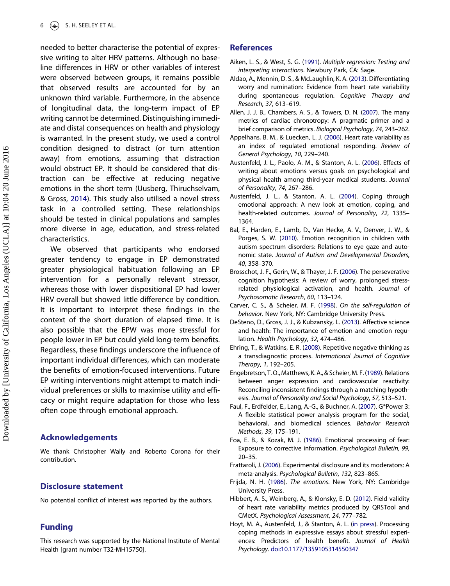<span id="page-6-0"></span>needed to better characterise the potential of expressive writing to alter HRV patterns. Although no baseline differences in HRV or other variables of interest were observed between groups, it remains possible that observed results are accounted for by an unknown third variable. Furthermore, in the absence of longitudinal data, the long-term impact of EP writing cannot be determined. Distinguishing immediate and distal consequences on health and physiology is warranted. In the present study, we used a control condition designed to distract (or turn attention away) from emotions, assuming that distraction would obstruct EP. It should be considered that distraction can be effective at reducing negative emotions in the short term (Uusberg, Thiruchselvam, & Gross, [2014\)](#page-7-0). This study also utilised a novel stress task in a controlled setting. These relationships should be tested in clinical populations and samples more diverse in age, education, and stress-related characteristics.

We observed that participants who endorsed greater tendency to engage in EP demonstrated greater physiological habituation following an EP intervention for a personally relevant stressor, whereas those with lower dispositional EP had lower HRV overall but showed little difference by condition. It is important to interpret these findings in the context of the short duration of elapsed time. It is also possible that the EPW was more stressful for people lower in EP but could yield long-term benefits. Regardless, these findings underscore the influence of important individual differences, which can moderate the benefits of emotion-focused interventions. Future EP writing interventions might attempt to match individual preferences or skills to maximise utility and efficacy or might require adaptation for those who less often cope through emotional approach.

#### Acknowledgements

We thank Christopher Wally and Roberto Corona for their contribution.

#### Disclosure statement

No potential conflict of interest was reported by the authors.

#### Funding

This research was supported by the National Institute of Mental Health [grant number T32-MH15750].

#### References

- Aiken, L. S., & West, S. G. [\(1991](#page-4-0)). Multiple regression: Testing and interpreting interactions. Newbury Park, CA: Sage.
- Aldao, A., Mennin, D. S., & McLaughlin, K. A. ([2013](#page-2-0)). Differentiating worry and rumination: Evidence from heart rate variability during spontaneous regulation. Cognitive Therapy and Research, 37, 613–619.
- Allen, J. J. B., Chambers, A. S., & Towers, D. N. [\(2007\)](#page-3-0). The many metrics of cardiac chronotropy: A pragmatic primer and a brief comparison of metrics. Biological Psychology, 74, 243–262.
- Appelhans, B. M., & Luecken, L. J. [\(2006\)](#page-2-0). Heart rate variability as an index of regulated emotional responding. Review of General Psychology, 10, 229–240.
- Austenfeld, J. L., Paolo, A. M., & Stanton, A. L. [\(2006\)](#page-5-0). Effects of writing about emotions versus goals on psychological and physical health among third-year medical students. Journal of Personality, 74, 267–286.
- Austenfeld, J. L., & Stanton, A. L. [\(2004](#page-2-0)). Coping through emotional approach: A new look at emotion, coping, and health-related outcomes. Journal of Personality, 72, 1335– 1364.
- Bal, E., Harden, E., Lamb, D., Van Hecke, A. V., Denver, J. W., & Porges, S. W. [\(2010](#page-5-0)). Emotion recognition in children with autism spectrum disorders: Relations to eye gaze and autonomic state. Journal of Autism and Developmental Disorders, 40, 358–370.
- Brosschot, J. F., Gerin, W., & Thayer, J. F. ([2006](#page-1-0)). The perseverative cognition hypothesis: A review of worry, prolonged stressrelated physiological activation, and health. Journal of Psychosomatic Research, 60, 113–124.
- Carver, C. S., & Scheier, M. F. [\(1998\)](#page-1-0). On the self-regulation of behavior. New York, NY: Cambridge University Press.
- DeSteno, D., Gross, J. J., & Kubzansky, L. ([2013\)](#page-1-0). Affective science and health: The importance of emotion and emotion regulation. Health Psychology, 32, 474–486.
- Ehring, T., & Watkins, E. R. ([2008\)](#page-1-0). Repetitive negative thinking as a transdiagnostic process. International Journal of Cognitive Therapy, 1, 192–205.
- Engebretson, T. O., Matthews, K. A., & Scheier, M. F. ([1989\)](#page-2-0). Relations between anger expression and cardiovascular reactivity: Reconciling inconsistent findings through a matching hypothesis. Journal of Personality and Social Psychology, 57, 513–521.
- Faul, F., Erdfelder, E., Lang, A.-G., & Buchner, A. [\(2007](#page-2-0)). G\*Power 3: A flexible statistical power analysis program for the social, behavioral, and biomedical sciences. Behavior Research Methods, 39, 175–191.
- Foa, E. B., & Kozak, M. J. [\(1986](#page-1-0)). Emotional processing of fear: Exposure to corrective information. Psychological Bulletin, 99, 20–35.
- Frattaroli, J. [\(2006\)](#page-2-0). Experimental disclosure and its moderators: A meta-analysis. Psychological Bulletin, 132, 823–865.
- Frijda, N. H. ([1986\)](#page-1-0). The emotions. New York, NY: Cambridge University Press.
- Hibbert, A. S., Weinberg, A., & Klonsky, E. D. [\(2012](#page-3-0)). Field validity of heart rate variability metrics produced by QRSTool and CMetX. Psychological Assessment, 24, 777–782.
- Hoyt, M. A., Austenfeld, J., & Stanton, A. L. [\(in press](#page-1-0)). Processing coping methods in expressive essays about stressful experiences: Predictors of health benefit. Journal of Health Psychology. [doi:10.1177/1359105314550347](http://dx.doi.org/10.1177/1359105314550347)